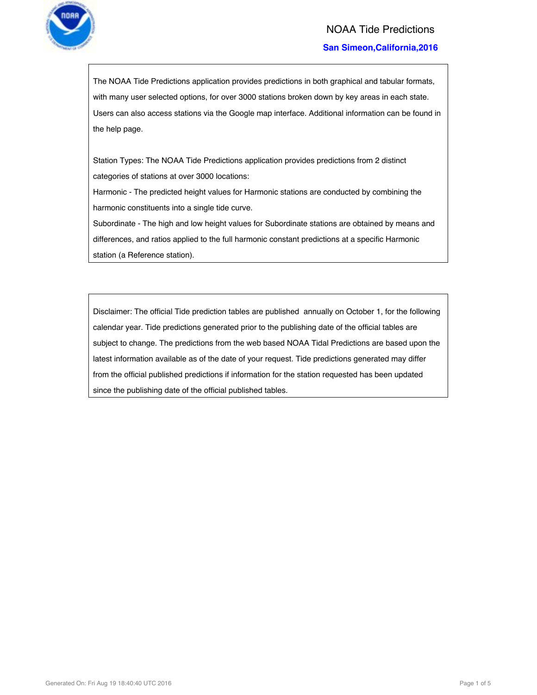

### NOAA Tide Predictions

#### **San Simeon,California,2016**

The NOAA Tide Predictions application provides predictions in both graphical and tabular formats, with many user selected options, for over 3000 stations broken down by key areas in each state. Users can also access stations via the Google map interface. Additional information can be found in the help page.

Station Types: The NOAA Tide Predictions application provides predictions from 2 distinct categories of stations at over 3000 locations:

Harmonic - The predicted height values for Harmonic stations are conducted by combining the harmonic constituents into a single tide curve.

Subordinate - The high and low height values for Subordinate stations are obtained by means and differences, and ratios applied to the full harmonic constant predictions at a specific Harmonic station (a Reference station).

Disclaimer: The official Tide prediction tables are published annually on October 1, for the following calendar year. Tide predictions generated prior to the publishing date of the official tables are subject to change. The predictions from the web based NOAA Tidal Predictions are based upon the latest information available as of the date of your request. Tide predictions generated may differ from the official published predictions if information for the station requested has been updated since the publishing date of the official published tables.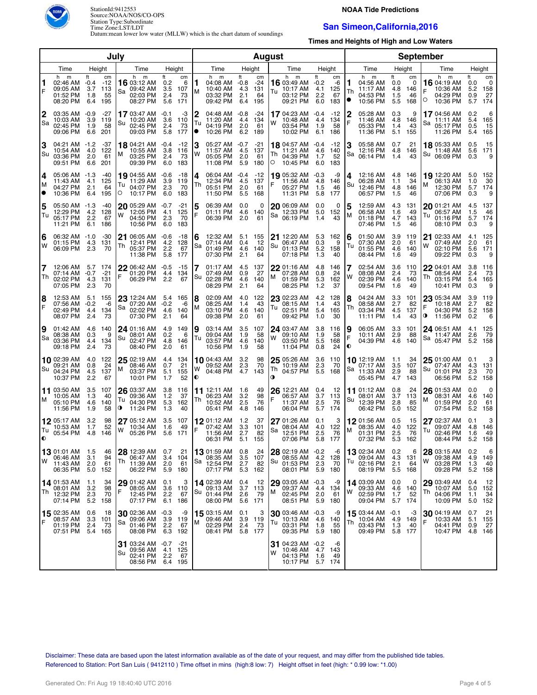

# StationId:9412553 Source:NOAA/NOS/CO-OPS Station Type:Subordinate Time Zone:LST/LDT

Datum:mean lower low water (MLLW) which is the chart datum of soundings

#### **NOAA Tide Predictions**

#### **San Simeon,California,2016**

**Times and Heights of High and Low Waters**

| July         |                                                        |                                                                      |    |                                                                    |                                |                             |                       | <b>August</b>                                          |                                   |                               |         |                                                        |                                   | <b>September</b>             |                      |                                                        |                                |                                    |         |                                                                  |                                |                                    |
|--------------|--------------------------------------------------------|----------------------------------------------------------------------|----|--------------------------------------------------------------------|--------------------------------|-----------------------------|-----------------------|--------------------------------------------------------|-----------------------------------|-------------------------------|---------|--------------------------------------------------------|-----------------------------------|------------------------------|----------------------|--------------------------------------------------------|--------------------------------|------------------------------------|---------|------------------------------------------------------------------|--------------------------------|------------------------------------|
|              | Time<br>Height                                         |                                                                      |    | Time                                                               | Height                         |                             |                       | Time                                                   | Height                            |                               |         | Time                                                   |                                   | Height                       |                      | Time                                                   | Height                         |                                    |         | Time                                                             | Height                         |                                    |
| 1<br>F       | h<br>m<br>02:46 AM<br>09:05 AM<br>01:52 PM<br>08:20 PM | ft<br>cm<br>$-0.4$<br>$-12$<br>3.7<br>113<br>1.8<br>55<br>6.4<br>195 |    | h<br>m<br>16 03:12 AM<br>09:42 AM<br>Sa<br>02:03 PM<br>08:27 PM    | ft<br>0.2<br>3.5<br>2.4<br>5.6 | cm<br>6<br>107<br>73<br>171 | 1<br>M                | h<br>m<br>04:08 AM<br>10:40 AM<br>03:32 PM<br>09:42 PM | ft<br>$-0.8$<br>4.3<br>2.1<br>6.4 | cm<br>-24<br>131<br>64<br>195 | Tu      | h m<br>16 03:49 AM<br>10:17 AM<br>03:12 PM<br>09:21 PM | ft<br>$-0.2$<br>4.1<br>2.2<br>6.0 | cm<br>-6<br>125<br>67<br>183 | Th                   | h<br>m<br>04:56 AM<br>11:17 AM<br>04:53 PM<br>10:56 PM | ft<br>0.0<br>4.8<br>1.5<br>5.5 | cm<br>$\Omega$<br>146<br>46<br>168 | E.<br>O | h<br>m<br><b>16</b> 04:19 AM<br>10:36 AM<br>04:29 PM<br>10:36 PM | ft<br>0.0<br>5.2<br>0.9<br>5.7 | cm<br>$\Omega$<br>158<br>27<br>174 |
| 2<br> Sa     | 03:35 AM<br>10:03 AM<br>02:45 PM<br>09:06 PM           | $-0.9$<br>-27<br>3.9<br>119<br>58<br>1.9<br>6.6<br>201               |    | <b>17</b> 03:47 AM<br>10:20 AM<br>Su<br>02:45 PM<br>09:03 PM       | $-0.1$<br>3.6<br>2.4<br>5.8    | -3<br>110<br>73<br>177      | 2<br> Tu<br>$\bullet$ | 04:48 AM<br>11:20 AM<br>04:19 PM<br>10:26 PM           | $-0.8$<br>4.4<br>2.0<br>6.2       | -24<br>134<br>61<br>189       | W       | 17 04:23 AM<br>10:48 AM<br>03:54 PM<br>10:02 PM        | -0.4<br>4.4<br>1.9<br>6.1         | $-12$<br>134<br>58<br>186    | 2<br>F               | 05:28 AM<br>11:46 AM<br>05:33 PM<br>11:36 PM           | 0.3<br>4.8<br>1.4<br>5.1       | 9<br>146<br>43<br>155              | Sa      | <b>17</b> 04:56 AM<br>11:11 AM<br>05:17 PM<br>11:26 PM           | 0.2<br>5.4<br>0.5<br>5.4       | 6<br>165<br>15<br>165              |
| 3<br>Su      | 04:21 AM<br>10:54 AM<br>03:36 PM<br>09:51 PM           | $-1.2$<br>-37<br>122<br>4.0<br>2.0<br>61<br>201<br>6.6               |    | <b>18</b> 04:21 AM<br>10:55 AM<br>М<br>03:25 PM<br>09:39 PM        | $-0.4$<br>3.8<br>2.4<br>6.0    | $-12$<br>116<br>73<br>183   | 3<br>W                | 05:27 AM<br>11:57 AM<br>05:05 PM<br>11:08 PM           | $-0.7$<br>4.5<br>2.0<br>5.9       | $-21$<br>137<br>-61<br>180    | Th<br>O | <b>18</b> 04:57 AM<br>11:21 AM<br>04:39 PM<br>10:45 PM | $-0.4$<br>4.6<br>1.7<br>6.0       | -12<br>140<br>52<br>183      | 3<br>Sa              | 05:58 AM<br>12:16 PM<br>06:14 PM                       | 0.7<br>4.8<br>1.4              | 21<br>146<br>43                    | Su      | 18 05:33 AM<br>11:48 AM<br>06:09 PM                              | 0.5<br>5.6<br>0.3              | 15<br>171<br>9                     |
| 4<br>M<br>lO | 05:06 AM<br>11:43 AM<br>04:27 PM<br>10:36 PM           | $-1.3$<br>-40<br>125<br>4.1<br>2.1<br>64<br>6.4<br>195               |    | 19 04:55 AM<br>11:29 AM<br>Tu<br>04:07 PM<br>О<br>10:17 PM         | -0.6<br>3.9<br>2.3<br>6.0      | -18<br>119<br>70<br>183     | 4<br> Th              | 06:04 AM<br>12:34 PM<br>05:51 PM<br>11:50 PM           | $-0.4$<br>4.5<br>2.0<br>5.5       | $-12$<br>137<br>61<br>168     | F       | 19 05:32 AM<br>11:56 AM<br>05:27 PM<br>11:31 PM        | $-0.3$<br>4.8<br>1.5<br>5.8       | -9<br>146<br>46<br>177       | 14<br>Su             | 12:16 AM<br>06:28 AM<br>12:46 PM<br>06:57 PM           | 4.8<br>1.1<br>4.8<br>1.5       | -146<br>34<br>146<br>46            | м       | 19 12:20 AM<br>06:13 AM<br>12:30 PM<br>07:06 PM                  | 5.0<br>1.0<br>5.7<br>0.3       | 152<br>30<br>174<br>9              |
| 5<br> Tu     | 05:50 AM<br>12:29 PM<br>05:17 PM<br>11:21 PM           | $-1.3$<br>-40<br>4.2<br>128<br>2.2<br>67<br>6.1<br>186               |    | 20 05:29 AM<br>12:05 PM<br>W<br>04:50 PM<br>10:56 PM               | -0.7<br>4.1<br>2.3<br>6.0      | $-21$<br>125<br>70<br>183   | 5<br>F                | 06:39 AM<br>01:11 PM<br>06:39 PM                       | 0.0<br>4.6<br>2.0                 | 0<br>140<br>61                | Sa      | 20 06:09 AM<br>12:33 PM<br>06:19 PM                    | 0.0<br>5.0<br>1.4                 | 0<br>152<br>43               | 5<br>M               | 12:59 AM<br>06:58 AM<br>01:18 PM<br>07:46 PM           | 4.3<br>1.6<br>4.7<br>1.5       | 131<br>49<br>143<br>46             | Tu      | 20 01:21 AM<br>06:57 AM<br>01:16 PM<br>08:10 PM                  | 4.5<br>1.5<br>5.7<br>0.3       | 137<br>46<br>174<br>9              |
| 16<br>lw     | 06:32 AM<br>01:15 PM<br>06:09 PM                       | $-1.0$<br>-30<br>4.3<br>131<br>2.3<br>70                             |    | 21<br>06:05 AM<br>12:41 PM<br>Th<br>05:37 PM<br>11:38 PM           | -0.6<br>4.2<br>2.2<br>5.8      | $-18$<br>128<br>67<br>177   | 6<br>Sa               | 12:32 AM<br>07:14 AM<br>01:49 PM<br>07:30 PM           | 5.1<br>0.4<br>4.6<br>2.1          | 155<br>12<br>140<br>64        | Su      | 21 12:20 AM<br>06:47 AM<br>01:13 PM<br>07:18 PM        | 0.3<br>5.2<br>1.3                 | 5.3 162<br>9<br>158<br>40    | 6<br>Tu              | 01:50 AM<br>07:30 AM<br>01:55 PM<br>08:44 PM           | 3.9<br>2.0<br>4.6<br>1.6       | 119<br>61<br>140<br>49             | 21<br>W | 02:33 AM<br>07:49 AM<br>02:10 PM<br>09:22 PM                     | 4.1<br>2.0<br>5.6<br>0.3       | 125<br>61<br>171<br>9              |
| 17<br> Th    | 12:06 AM<br>07:14 AM<br>02:02 PM<br>07:05 PM           | 5.7 174<br>$-21$<br>$-0.7$<br>4.3<br>131<br>2.3<br>70                |    | 22 06:42 AM $-0.5$<br>01:20 PM<br>F<br>06:29 PM                    | 4.4<br>2.2                     | -15<br>134<br>67            | 7<br>Su               | 01:17 AM<br>07:49 AM<br>02:28 PM<br>08:29 PM           | 4.5<br>0.9<br>4.6<br>2.1          | 137<br>27<br>140<br>64        | М       | 22 01:16 AM<br>07:28 AM<br>01:59 PM<br>08:25 PM        | 4.8<br>0.8<br>5.3<br>1.2          | 146<br>24<br>162<br>37       | 7<br>W               | 02:54 AM<br>08:08 AM<br>02:39 PM<br>09:54 PM           | 3.6<br>2.4<br>4.6<br>1.6       | 110<br>73<br>140<br>49             | Th      | 22 04:01 AM<br>08:54 AM<br>03:15 PM<br>10:41 PM                  | 3.8<br>2.4<br>5.4<br>0.3       | 116<br>73<br>165<br>9              |
| 18<br>F      | 12:53 AM<br>07:56 AM<br>02:49 PM<br>08:07 PM           | 5.1<br>155<br>$-0.2$<br>134<br>4.4<br>2.4<br>73                      | -6 | 23 12:24 AM<br>07:20 AM -0.2<br>Sa<br>02:02 PM<br>07:30 PM         | 5.4 165<br>4.6<br>2.1          | -6<br>140<br>64             | 8<br>M                | 02:09 AM<br>08:25 AM<br>03:10 PM<br>09:38 PM           | 4.0<br>1.4<br>4.6<br>2.0          | 122<br>43<br>140<br>61        | Tu      | 23 02:23 AM<br>08:15 AM<br>02:51 PM<br>09:42 PM        | 4.2<br>1.4<br>5.4<br>1.0          | 128<br>43<br>165<br>30       | 8<br>Th              | 04:24 AM<br>08:58 AM<br>03:34 PM<br>11:11 PM           | 3.3<br>2.7<br>4.5<br>1.4       | 101<br>82<br>137<br>43             | F<br>0  | 23 05:34 AM<br>10:18 AM<br>04:30 PM<br>11:56 PM                  | 3.9<br>2.7<br>5.2<br>0.2       | 119<br>82<br>158<br>6              |
| 19<br>Sa     | 01:42 AM<br>08:38 AM<br>03:36 PM<br>09:18 PM           | 140<br>4.6<br>0.3<br>4.4<br>134<br>2.4<br>73                         | 9  | 24 01:16 AM<br>08:01 AM<br>Su<br>02:47 PM<br>08:40 PM              | 4.9<br>0.2<br>4.8<br>2.0       | 149<br>6<br>146<br>61       | Ι9<br>Tu              | 03:14 AM<br>09:04 AM<br>03:57 PM<br>10:56 PM           | 3.5<br>1.9<br>4.6<br>1.9          | 107<br>58<br>140<br>58        | W       | 24 03:47 AM<br>09:10 AM<br>03:50 PM<br>11:04 PM        | 3.8<br>1.9<br>5.5<br>0.8          | 116<br>58<br>168<br>24       | Ι9<br>F<br>$\bullet$ | 06:05 AM<br>10:11 AM<br>04:39 PM                       | 3.3<br>2.9<br>4.6              | 101<br>88<br>140                   | Sa      | <b>24</b> 06:51 AM<br>11:47 AM<br>05:47 PM                       | 4.1<br>2.6<br>5.2              | 125<br>79<br>158                   |
| Su           | 10 02:39 AM<br>09:21 AM<br>04:24 PM<br>10:37 PM        | 4.0<br>122<br>24<br>0.8<br>4.5<br>137<br>2.2<br>67                   |    | 25 02:19 AM<br>08:46 AM<br>М<br>03:37 PM<br>10:01 PM               | 4.4<br>0.7<br>5.1<br>1.7       | 134<br>21<br>155<br>52      | W<br>0                | 10 04:43 AM<br>09:52 AM<br>04:48 PM                    | 3.2<br>2.3<br>4.7                 | 98<br>70<br>143               | Th<br>0 | 25 05:26 AM<br>10:19 AM<br>04:57 PM                    | 3.6<br>2.3<br>5.5                 | 110<br>-70<br>168            | Sa                   | 10 12:19 AM<br>07:17 AM<br>11:33 AM<br>05:45 PM        | 1.1<br>3.5<br>2.9<br>4.7       | 34<br>107<br>88<br>143             | Su      | 25 01:00 AM<br>07:47 AM<br>01:01 PM<br>06:56 PM                  | 0.1<br>4.3<br>2.3<br>5.2       | 3<br>131<br>70<br>158              |
| M            | 11 03:50 AM<br>10:05 AM<br>05:10 PM<br>11:56 PM        | 3.5<br>107<br>1.3<br>40<br>4.6<br>140<br>1.9<br>58                   |    | 26 03:37 AM<br>09:36 AM<br>Tu<br>04:30 PM<br>0<br>11:24 PM         | 3.8<br>1.2<br>5.3<br>1.3       | 116<br>37<br>162<br>40      | Th                    | <b>11</b> 12:11 AM<br>06:23 AM<br>10:52 AM<br>05:41 PM | 1.6<br>3.2<br>2.5<br>4.8          | 49<br>98<br>76<br>146         | F       | 26 12:21 AM<br>06:57 AM<br>11:37 AM<br>06:04 PM        | 0.4<br>3.7<br>2.5<br>5.7          | -12<br>113<br>76<br>174      | Su                   | 11 01:12 AM<br>08:01 AM<br>12:39 PM<br>06:42 PM        | 0.8<br>3.7<br>2.8<br>5.0       | 24<br>113<br>85<br>152             | М       | 26 01:53 AM<br>08:31 AM<br>01:59 PM<br>07:54 PM                  | 0.0<br>4.6<br>2.0<br>5.2       | 0<br>140<br>61<br>158              |
| Tu<br>I O    | 12 05:17 AM<br>10:53 AM<br>05:54 PM                    | 3.2<br>98<br>1.7<br>4.8<br>146                                       | 52 | 27 05:12 AM<br>10:34 AM<br>W<br>05:26 PM                           | 3.5<br>1.6<br>5.6              | 107<br>49<br>- 171          | F                     | 12 01:12 AM<br>07:42 AM<br>11:56 AM<br>06:31 PM        | 1.2<br>3.3<br>2.7<br>5.1          | 37<br>101<br>82<br>155        | Sa      | 27 01:26 AM<br>08:04 AM<br>12:51 PM<br>07:06 PM        | 0.1<br>4.0<br>2.5<br>5.8          | 3<br>122<br>-76<br>177       | М                    | 12 01:56 AM<br>08:35 AM<br>01:31 PM<br>07:32 PM        | 0.5<br>4.0<br>2.5<br>5.3       | 15<br>122<br>-76<br>162            | Tu      | 27 02:37 AM<br>09:07 AM<br>02:46 PM<br>08:44 PM                  | 0.1<br>4.8<br>1.6<br>5.2       | 3<br>146<br>49<br>158              |
| W            | 13 01:01 AM<br>06:46 AM<br>11:43 AM<br>06:35 PM        | 46<br>1.5<br>94<br>3.1<br>2.0<br>61<br>5.0<br>152                    |    | $2812:39$ AM<br>06:47 AM<br>Th<br>11:39 AM<br>06:22 PM             | 0.7<br>3.4<br>2.0<br>5.9       | 21<br>104<br>61<br>180      | Sa                    | 13 01:59 AM<br>08:35 AM<br>12:54 PM<br>07:17 PM        | 0.8<br>3.5<br>2.7<br>5.3          | 24<br>107<br>82<br>162        | Su      | 28 02:19 AM<br>08:55 AM<br>01:53 PM<br>08:01 PM        | $-0.2$<br>4.2<br>2.3<br>5.9       | -6<br>128<br>70<br>180       | Tu                   | 13 02:34 AM<br>09:04 AM<br>02:16 PM<br>08:19 PM        | 0.2<br>4.3<br>2.1<br>5.5       | 6<br>131<br>64<br>168              | W       | 28 03:15 AM<br>09:38 AM<br>03:28 PM<br>09:28 PM                  | 0.2<br>4.9<br>1.3<br>5.2       | 6<br>149<br>40<br>158              |
| Th           | 14 01:53 AM<br>08:01 AM<br>12:32 PM<br>07:14 PM        | 1.1<br>3.2<br>98<br>2.3<br>70<br>5.2<br>158                          | 34 | 29 01:42 AM<br>08:05 AM<br>F<br>12:45 PM<br>07:17 PM               | 0.1<br>3.6<br>2.2<br>6.1       | 3<br>110<br>67<br>186       | Su                    | 14 02:39 AM<br>09:13 AM<br>01:44 PM<br>08:00 PM        | 0.4<br>3.7<br>2.6<br>5.6          | 12<br>113<br>-79<br>171       | М       | 29 03:05 AM<br>09:37 AM<br>02:45 PM<br>08:51 PM        | $-0.3$<br>4.4<br>2.0<br>5.9       | -9<br>134<br>61<br>180       | W                    | 14 03:09 AM<br>09:33 AM<br>02:59 PM<br>09:04 PM        | 0.0<br>4.6<br>1.7              | 0<br>140<br>52<br>5.7 174          | Th      | 29 03:49 AM<br>10:07 AM<br>04:06 PM<br>10:09 PM                  | 0.4<br>5.0<br>1.1<br>5.0       | 12<br>152<br>34<br>152             |
| lF.          | 15 02:35 AM<br>08:57 AM<br>01:19 PM<br>07:51 PM        | 0.6<br>18<br>3.3<br>101<br>2.4<br>73<br>5.4 165                      |    | 30 02:36 AM<br>09:06 AM<br>Sa<br>01:46 PM<br>08:08 PM              | $-0.3$<br>3.9<br>2.2<br>6.3    | -9<br>119<br>67<br>192      | M                     | 15 03:15 AM<br>09:46 AM<br>02:29 PM<br>08:41 PM        | 0.1<br>3.9<br>2.4                 | 3<br>119<br>- 73<br>5.8 177   | Tu      | $30$ 03:46 AM<br>10:13 AM<br>03:31 PM<br>09:35 PM      | $-0.3$<br>4.6<br>1.8<br>5.9       | -9<br>140<br>-55<br>180      | Тh                   | <b>15</b> 03:44 AM<br>10:04 AM<br>03:43 PM<br>09:49 PM | $-0.1$<br>4.9<br>1.3<br>5.8    | -3<br>149<br>-40<br>177            | F       | 30 04:19 AM<br>10:33 AM<br>04:41 PM<br>10:47 PM                  | 0.7<br>5.1<br>0.9<br>4.8       | 21<br>155<br>27<br>146             |
|              |                                                        |                                                                      |    | 31 03:24 AM -0.7<br>09:56 AM<br>Su<br>02:41 PM<br>08:56 PM 6.4 195 | 4.1<br>2.2                     | $-21$<br>125<br>67          |                       |                                                        |                                   |                               | 31<br>W | 04:23 AM<br>10:46 AM<br>04:13 PM<br>10:17 PM           | $-0.2$<br>4.7<br>1.6              | -6<br>143<br>49<br>5.7 174   |                      |                                                        |                                |                                    |         |                                                                  |                                |                                    |

Disclaimer: These data are based upon the latest information available as of the date of your request, and may differ from the published tide tables. Referenced to Station: Port San Luis ( 9412110 ) Time offset in mins (high:8 low: 7) Height offset in feet (high: \* 0.99 low: \*1.00)